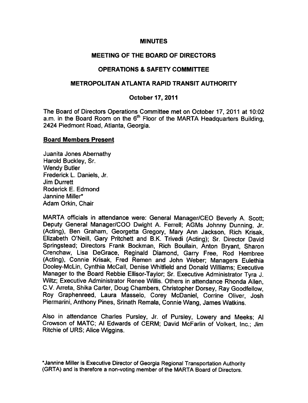### **MINUTES**

# MEETING OF THE BOARD OF DIRECTORS

## OPERATIONS & SAFETY COMMITTEE

## METROPOLITAN ATLANTA RAPID TRANSIT AUTHORITY

## October 17, 2011

The Board of Directors Operations Committee met on October 17, 2011 at 10:02 a.m. in the Board Room on the  $6<sup>th</sup>$  Floor of the MARTA Headquarters Building, 2424 Piedmont Road, Atlanta, Georgia.

#### Board Members Present

Juanita Jones Abernathy Harold Buckley, Sr. Wendy Butler Frederick L. Daniels, Jr. Jim Durrett Roderick E. Edmond Jannine Miller\* Adam Orkin, Chair

MARTA officials in attendance were: General Manager/CEO Beverly A. Scott; Deputy General Manager/COO Dwight A. Ferrell; AGMs Johnny Dunning, Jr. (Acting), Ben Graham, Georgetta Gregory, Mary Ann Jackson, Rich Krisak, Elizabeth O'Neill, Gary Pritchett and B.K. Trivedi (Acting); Sr. Director David Springstead; Directors Frank Bockman, Rich Boullain, Anton Bryant, Sharon Crenchaw, Lisa DeGrace, Reginald Diamond, Garry Free, Rod Hembree (Acting), Connie Krisak, Fred Remen and John Weber; Managers Eulethia Dooley-McLin, Cynthia McCall, Denise Whitfield and Donald Williams; Executive Manager to the Board Rebbie Ellisor-Taylor; Sr. Executive Administrator Tyra J. Wiltz; Executive Administrator Renee Willis. Others in attendance Rhonda Allen, C.V. Arreta, Shika Carter, Doug Chambers, Christopher Dorsey, Ray Goodfellow, Roy Graphenreed, Laura Masselo, Corey McDaniel, Corrine Oliver, Josh Piermarini, Anthony Pines, Srinath Remala, Connie Wang, James Watkins.

Also in attendance Charles Pursley, Jr. of Pursley, Lowery and Meeks; Al Crowson of MATC; Al Edwards of CERM; David McFarlin of Volkert, Inc.; Jim Ritchie of URS; Alice Wiggins.

\*Jannine Miller is Executive Director of Georgia Regional Transportation Authority (GRTA) and is therefore a non-voting member of the MARTA Board of Directors.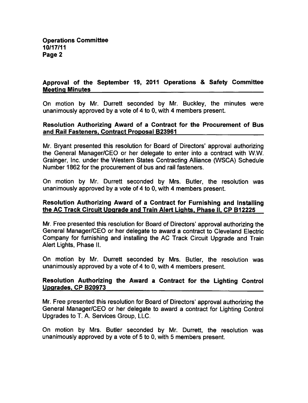# Approval of the September 19, 2011 Operations & Safety Committee Meeting Minutes

On motion by Mr. Durrett seconded by Mr. Buckley, the minutes were unanimously approved by a vote of 4 to 0, with 4 members present.

### Resolution Authorizing Award of a Contract for the Procurement of Bus and Rail Fasteners. Contract Proposal B23961

Mr. Bryant presented this resolution for Board of Directors' approval authorizing the General Manager/CEO or her delegate to enter into a contract with W.W. Grainger, Inc. under the Western States Contracting Alliance (WSCA) Schedule Number 1862 for the procurement of bus and rail fasteners.

On motion by Mr. Durrett seconded by Mrs. Butler, the resolution was unanimously approved by a vote of 4 to 0, with 4 members present.

## Resolution Authorizing Award of a Contract for Furnishing and Installing the AC Track Circuit Upgrade and Train Alert Lights. Phase II. CP B12225

Mr. Free presented this resolution for Board of Directors' approval authorizing the General Manager/CEO or her delegate to award a contract to Cleveland Electric Company for furnishing and installing the AC Track Circuit Upgrade and Train Alert Lights, Phase II.

On motion by Mr. Durrett seconded by Mrs. Butler, the resolution was unanimously approved by a vote of 4 to 0, with 4 members present.

# Resolution Authorizing the Award a Contract for the Lighting Control Upgrades. CP B20973

Mr. Free presented this resolution for Board of Directors' approval authorizing the General Manager/CEO or her delegate to award a contract for Lighting Control Upgrades to T. A. Services Group, LLC.

On motion by Mrs. Butler seconded by Mr. Durrett, the resolution was unanimously approved by a vote of  $5$  to  $0$ , with  $5$  members present.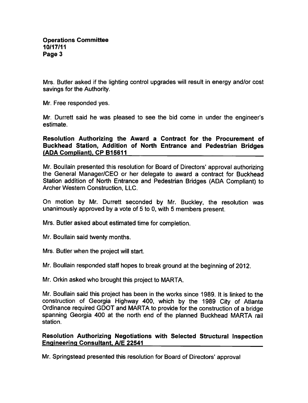Mrs. Butler asked if the lighting control upgrades will result in energy and/or cost savings for the Authority.

Mr. Free responded yes.

Mr. Durrett said he was pleased to see the bid come in under the engineer's estimate.

Resolution Authorizing the Award a Contract for the Procurement of Buckhead Station, Addition of North Entrance and Pedestrian Bridges (ADA Compliant). CP B15611

Mr. Boullain presented this resolution for Board of Directors' approval authorizing the General Manager/CEO or her delegate to award a contract for Buckhead Station addition of North Entrance and Pedestrian Bridges (ADA Compliant) to Archer Western Construction, LLC.

On motion by Mr. Durrett seconded by Mr. Buckley, the resolution was unanimously approved by a vote of 5 to 0, with 5 members present.

Mrs. Butler asked about estimated time for completion.

Mr. Boullain said twenty months.

Mrs. Butler when the project will start.

Mr. Boullain responded staff hopes to break ground at the beginning of 2012.

Mr. Orkin asked who brought this project to MARTA.

Mr. Boullain said this project has been in the works since 1989. It is linked to the construction of Georgia Highway 400, which by the 1989 City of Atlanta Ordinance required GDOT and MARTA to provide for the construction of a bridge spanning Georgia 400 at the north end of the planned Buckhead MARTA rail station.

## Resolution Authorizing Negotiations with Selected Structural Inspection Engineering Consultant. A/E 22541

Mr. Springstead presented this resolution for Board of Directors' approval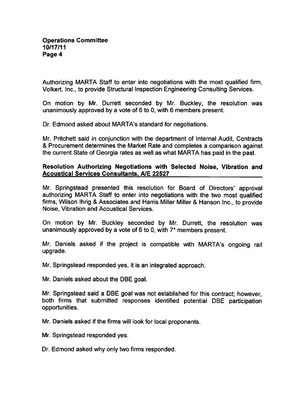Authorizing MARTA Staff to enter into negotiations with the most qualified firm, Volkert, Inc., to provide Structural Inspection Engineering Consulting Services.

On motion by Mr. Durrett seconded by Mr. Buckley, the resolution was unanimously approved by a vote of  $6$  to 0, with  $6$  members present.

Dr. Edmond asked about MARTA's standard for negotiations.

Mr. Pritchett said in conjunction with the department of Internal Audit, Contracts & Procurement determines the Market Rate and completes a comparison against the current State of Georgia rates as well as what MARTA has paid in the past.

## Resolution Authorizing Negotiations with Selected Noise, Vibration and Acoustical Services Consultants. A/E 22527

Mr. Springstead presented this resolution for Board of Directors' approval authorizing MARTA Staff to enter into negotiations with the two most qualified firms, Wilson Ihrig & Associates and Harris Miller Miller & Hanson Inc., to provide Noise, Vibration and Acoustical Services.

On motion by Mr. Buckley seconded by Mr. Durrett, the resolution was unanimously approved by a vote of 6 to 0, with  $7*$  members present.

Mr. Daniels asked if the project is compatible with MARTA's ongoing rail upgrade.

Mr. Springstead responded yes, it is an integrated approach.

Mr. Daniels asked about the DBE goal.

Mr. Springstead said a DBE goal was not established for this contract: however, both firms that submitted responses identified potential DBE participation opportunities.

Mr. Daniels asked if the firms will look for local proponents.

Mr. Springstead responded yes.

Dr. Edmond asked why only two firms responded.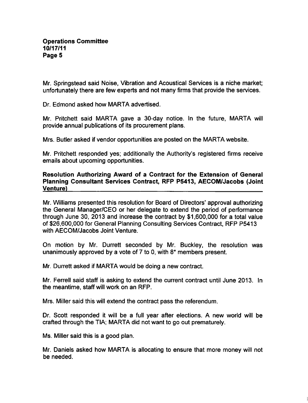Mr. Springstead said Noise, Vibration and Acoustical Services is a niche market; unfortunately there are few experts and not many firms that provide the services.

Dr. Edmond asked how MARTA advertised.

Mr. Pritchett said MARTA gave a 30-day notice. In the future, MARTA will provide annual publications of its procurement plans.

Mrs. Butler asked if vendor opportunities are posted on the MARTA website.

Mr. Pritchett responded yes; additionally the Authority's registered firms receive emails about upcoming opportunities.

## Resolution Authorizing Award of a Contract for the Extension of General Planning Consultant Services Contract, RFP P5413, AECOM/Jacobs (Joint Venture)

Mr. Williams presented this resolution for Board of Directors' approval authorizing the General Manager/CEO or her delegate to extend the period of performance through June 30, 2013 and increase the contract by \$1,600,000 for a total value of \$26,600,000 for General Planning Consulting Services Contract, RFP P5413 with AECOM/Jacobs Joint Venture.

On motion by Mr. Durrett seconded by Mr. Buckley, the resolution was unanimously approved by a vote of  $7$  to 0, with  $8*$  members present.

Mr. Durrett asked if MARTA would be doing a new contract.

Mr. Ferrell said staff is asking to extend the current contract until June 2013. In the meantime, staff will work on an RFP.

Mrs. Miller said this will extend the contract pass the referendum.

Dr. Scott responded it will be a full year after elections. A new world will be crafted through the TIA; MARTA did not want to go out prematurely.

Ms. Miller said this is a good plan.

Mr. Daniels asked how MARTA is allocating to ensure that more money will not be needed.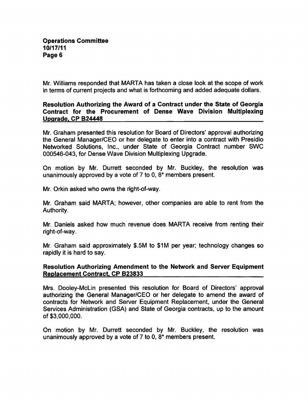Mr. Williams responded that MARTA has taken a close look at the scope of work in terms of current projects and what is forthcoming and added adequate dollars.

## Resolution Authorizing the Award of a Contract under the State of Georgia Contract for the Procurement of Dense Wave Division Multiplexing Upgrade. CP B24448

Mr. Graham presented this resolution for Board of Directors' approval authorizing the General Manager/CEO or her delegate to enter into a contract with Presidio Networked Solutions, Inc., under State of Georgia Contract number SWC 000546-043, for Dense Wave Division Multiplexing Upgrade.

On motion by Mr. Durrett seconded by Mr. Buckley, the resolution was unanimously approved by a vote of  $7$  to  $0$ ,  $8*$  members present.

Mr. Orkin asked who owns the right-of-way.

Mr. Graham said MARTA; however, other companies are able to rent from the Authority.

Mr. Daniels asked how much revenue does MARTA receive from renting their right-of-way.

Mr. Graham said approximately \$.5M to \$1M per year; technology changes so rapidly it is hard to say.

## Resolution Authorizing Amendment to the Network and Server Equipment Replacement Contract. CP B23833

Mrs. Dooley-McLin presented this resolution for Board of Directors' approval authorizing the General Manager/CEO or her delegate to amend the award of contracts for Network and Server Equipment Replacement, under the General Services Administration (GSA) and State of Georgia contracts, up to the amount of \$3,000,000.

On motion by Mr. Durrett seconded by Mr. Buckley, the resolution was unanimously approved by a vote of  $7$  to 0,  $8^*$  members present.